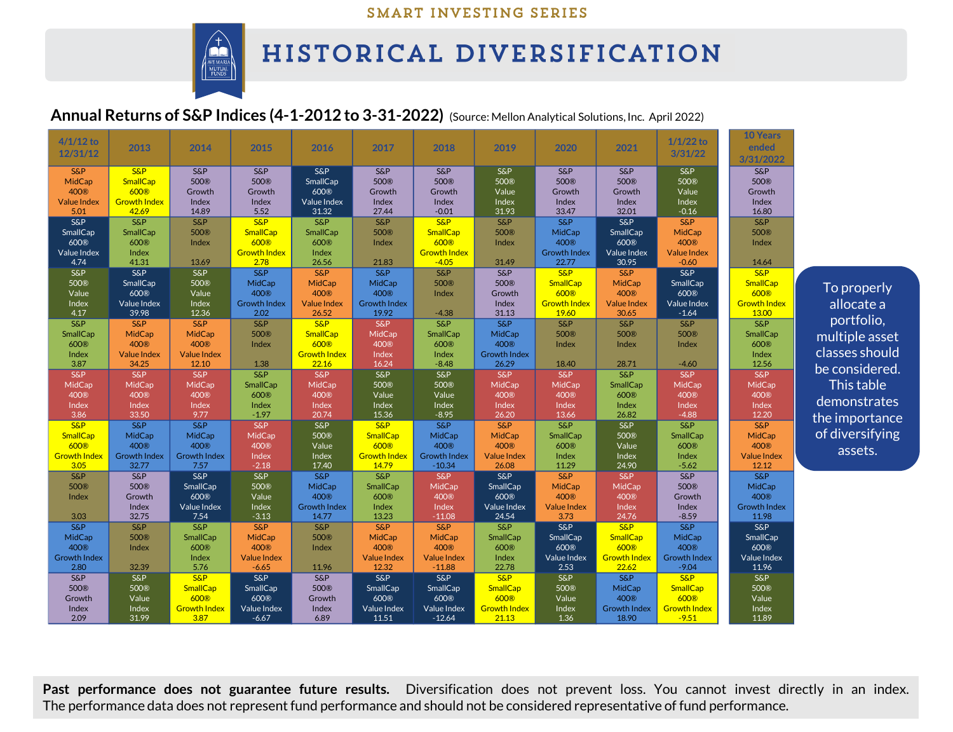### SMART INVESTING SERIES



# HISTORICAL DIVERSIFICATION

## **Annual Returns of S&P Indices (4-1-2012 to 3-31-2022)** (Source: Mellon Analytical Solutions,Inc. April 2022)

| $4/1/12$ to<br>12/31/12                                                    | 2013                                                                           | 2014                                                                        | 2015                                                                          | 2016                                                                        | 2017                                                                | 2018                                                                             | 2019                                                                         | 2020                                                             | 2021                                                       | $1/1/22$ to<br>3/31/22                                              | <b>10 Years</b><br>ended<br>3/31/2022                               |                                                |
|----------------------------------------------------------------------------|--------------------------------------------------------------------------------|-----------------------------------------------------------------------------|-------------------------------------------------------------------------------|-----------------------------------------------------------------------------|---------------------------------------------------------------------|----------------------------------------------------------------------------------|------------------------------------------------------------------------------|------------------------------------------------------------------|------------------------------------------------------------|---------------------------------------------------------------------|---------------------------------------------------------------------|------------------------------------------------|
| <b>S&amp;P</b><br>MidCap<br>400 <sup>®</sup><br><b>Value Index</b><br>5.01 | <b>S&amp;P</b><br>SmallCap<br>600 <sup>®</sup><br><b>Growth Index</b><br>42.69 | $S\&P$<br>500®<br>Growth<br>Index<br>14.89                                  | <b>S&amp;P</b><br>500 <sup>®</sup><br>Growth<br>Index<br>5.52                 | <b>S&amp;P</b><br>SmallCap<br>600®<br>Value Index<br>31.32                  | <b>S&amp;P</b><br>500 <sup>®</sup><br>Growth<br>Index<br>27.44      | <b>S&amp;P</b><br>500®<br>Growth<br>Index<br>$-0.01$                             | <b>S&amp;P</b><br>500 <sup>®</sup><br>Value<br>Index<br>31.93                | <b>S&amp;P</b><br>500®<br>Growth<br>Index<br>33.47               | <b>S&amp;P</b><br>500®<br>Growth<br>Index<br>32.01         | <b>S&amp;P</b><br>500®<br>Value<br>Index<br>$-0.16$                 | <b>S&amp;P</b><br>500®<br>Growth<br>Index<br>16.80                  |                                                |
| <b>S&amp;P</b><br>SmallCap<br>600®<br>Value Index<br>4.74                  | <b>S&amp;P</b><br>SmallCap<br>600®<br>Index<br>41.31                           | <b>S&amp;P</b><br>500®<br>Index<br>13.69                                    | <b>S&amp;P</b><br>SmallCap<br>600 <sup>®</sup><br><b>Growth Index</b><br>2.78 | <b>S&amp;P</b><br>SmallCap<br>600®<br>Index<br>26.56                        | <b>S&amp;P</b><br>500®<br>Index<br>21.83                            | <b>S&amp;P</b><br>SmallCap<br>600 <sup>®</sup><br><b>Growth Index</b><br>$-4.05$ | <b>S&amp;P</b><br>500 <sup>®</sup><br>Index<br>31.49                         | <b>S&amp;P</b><br>MidCap<br>400®<br><b>Growth Index</b><br>22.77 | <b>S&amp;P</b><br>SmallCap<br>600®<br>Value Index<br>30.95 | <b>S&amp;P</b><br>MidCap<br>400®<br><b>Value Index</b><br>$-0.60$   | <b>S&amp;P</b><br>500®<br>Index<br>14.64                            |                                                |
| <b>S&amp;P</b><br>500®<br>Value<br>Index                                   | <b>S&amp;P</b><br>SmallCap<br>600®<br>Value Index                              | S&P<br>500®<br>Value<br>Index                                               | <b>S&amp;P</b><br>MidCap<br>400 <sup>®</sup><br><b>Growth Index</b>           | <b>S&amp;P</b><br><b>MidCap</b><br>400 <sup>®</sup><br><b>Value Index</b>   | <b>S&amp;P</b><br>MidCap<br>400 <sup>®</sup><br><b>Growth Index</b> | $S\&P$<br>500®<br>Index                                                          | <b>S&amp;P</b><br>500 <sup>®</sup><br>Growth<br>Index                        | <b>S&amp;P</b><br><b>SmallCap</b><br>600®<br><b>Growth Index</b> | <b>S&amp;P</b><br>MidCap<br>400®<br><b>Value Index</b>     | S&P<br>SmallCap<br>600®<br>Value Index                              | <b>S&amp;P</b><br>SmallCap<br>600®<br><b>Growth Index</b>           | To properly<br>allocate a                      |
| 4.17<br><b>S&amp;P</b><br>SmallCap<br>600®<br>Index                        | 39.98<br><b>S&amp;P</b><br>MidCap<br>400 <sup>®</sup><br><b>Value Index</b>    | 12.36<br><b>S&amp;P</b><br>MidCap<br>400 <sup>®</sup><br><b>Value Index</b> | 2.02<br><b>S&amp;P</b><br>500®<br>Index                                       | 26.52<br><b>S&amp;P</b><br><b>SmallCap</b><br>600®<br><b>Growth Index</b>   | 19.92<br><b>S&amp;P</b><br>MidCap<br>400 <sup>®</sup><br>Index      | $-4.38$<br>$S\&P$<br>SmallCap<br>600®<br>Index                                   | 31.13<br><b>S&amp;P</b><br>MidCap<br>400 <sup>®</sup><br><b>Growth Index</b> | 19.60<br><b>S&amp;P</b><br>500®<br>Index                         | 30.65<br><b>S&amp;P</b><br>500 <sup>®</sup><br>Index       | $-1.64$<br>S&P<br>500 <sup>®</sup><br>Index                         | 13.00<br>$S\&P$<br>SmallCap<br>600®<br>Index                        | portfolio,<br>multiple asset<br>classes should |
| 3.87<br><b>S&amp;P</b><br>MidCap<br>400®<br>Index                          | 34.25<br><b>S&amp;P</b><br><b>MidCap</b><br>400 <sup>®</sup><br>Index          | 12.10<br><b>S&amp;P</b><br><b>MidCap</b><br>400 <sup>®</sup><br>Index       | 1.38<br><b>S&amp;P</b><br>SmallCap<br>600®<br>Index                           | 22.16<br><b>S&amp;P</b><br>MidCap<br>400 <sup>®</sup><br>Index              | 16.24<br><b>S&amp;P</b><br>500 <sup>®</sup><br>Value<br>Index       | $-8.48$<br>S&P<br>500 <sup>®</sup><br>Value<br>Index                             | 26.29<br>S&P<br>MidCap<br>400 <sup>®</sup><br>Index                          | 18.40<br><b>S&amp;P</b><br><b>MidCap</b><br>400®<br>Index        | 28.71<br><b>S&amp;P</b><br>SmallCap<br>600®<br>Index       | $-4.60$<br><b>S&amp;P</b><br>MidCap<br>400 <sup>®</sup><br>Index    | 12.56<br>S&P<br>MidCap<br>400 <sup>®</sup><br>Index                 | be considered.<br>This table<br>demonstrates   |
| 3.86<br><b>S&amp;P</b><br><b>SmallCap</b><br>600®                          | 33.50<br><b>S&amp;P</b><br>MidCap<br>400®                                      | 9.77<br><b>S&amp;P</b><br>MidCap<br>400 <sup>®</sup>                        | $-1.97$<br><b>S&amp;P</b><br>MidCap<br>400 <sup>®</sup>                       | 20.74<br><b>S&amp;P</b><br>500 <sup>®</sup><br>Value                        | 15.36<br>S&P<br><b>SmallCap</b><br>600®                             | $-8.95$<br><b>S&amp;P</b><br>MidCap<br>400 <sup>®</sup>                          | 26.20<br><b>S&amp;P</b><br>MidCap<br>400®                                    | 13.66<br><b>S&amp;P</b><br>SmallCap<br>600®                      | 26.82<br><b>S&amp;P</b><br>500®<br>Value                   | $-4.88$<br><b>S&amp;P</b><br>SmallCap<br>600®                       | 12.20<br><b>S&amp;P</b><br>MidCap<br>400 <sup>®</sup>               | the importance<br>of diversifying<br>assets.   |
| <b>Growth Index</b><br>3.05<br><b>S&amp;P</b><br>500®<br>Index             | <b>Growth Index</b><br>32.77<br><b>S&amp;P</b><br>500®<br>Growth               | <b>Growth Index</b><br>7.57<br><b>S&amp;P</b><br>SmallCap<br>600®           | Index<br>$-2.18$<br><b>S&amp;P</b><br>500 <sup>®</sup><br>Value               | Index<br>17.40<br><b>S&amp;P</b><br>MidCap<br>400®                          | <b>Growth Index</b><br>14.79<br>S&P<br>SmallCap<br>600®             | <b>Growth Index</b><br>$-10.34$<br>S&P<br>MidCap<br>400 <sup>®</sup>             | <b>Value Index</b><br>26.08<br>$S\&P$<br>SmallCap<br>600®                    | Index<br>11.29<br><b>S&amp;P</b><br>MidCap<br>400 <sup>®</sup>   | Index<br>24.90<br>S&P<br><b>MidCap</b><br>400®             | Index<br>$-5.62$<br><b>S&amp;P</b><br>500®<br>Growth                | <b>Value Index</b><br>12.12<br>$S\&P$<br>MidCap<br>400 <sup>®</sup> |                                                |
| 3.03<br><b>S&amp;P</b><br>MidCap<br>400®                                   | Index<br>32.75<br><b>S&amp;P</b><br>500®<br>Index                              | Value Index<br>7.54<br><b>S&amp;P</b><br>SmallCap<br>600®                   | Index<br>$-3.13$<br><b>S&amp;P</b><br>MidCap<br>400 <sup>®</sup>              | <b>Growth Index</b><br>14.77<br><b>S&amp;P</b><br>500 <sup>®</sup><br>Index | Index<br>13.23<br>S&P<br>MidCap<br>400 <sup>®</sup>                 | Index<br>$-11.08$<br><b>S&amp;P</b><br>MidCap<br>400 <sup>®</sup>                | Value Index<br>24.54<br><b>S&amp;P</b><br>SmallCap<br>600®                   | <b>Value Index</b><br>3.73<br><b>S&amp;P</b><br>SmallCap<br>600® | Index<br>24.76<br><b>S&amp;P</b><br>SmallCap<br>600®       | Index<br>$-8.59$<br><b>S&amp;P</b><br>MidCap<br>400 <sup>®</sup>    | <b>Growth Index</b><br>11.98<br><b>S&amp;P</b><br>SmallCap<br>600®  |                                                |
| <b>Growth Index</b><br>2.80<br>$S\&P$<br>500®                              | 32.39<br><b>S&amp;P</b><br>500®                                                | Index<br>5.76<br><b>S&amp;P</b><br>SmallCap                                 | <b>Value Index</b><br>$-6.65$<br>$S\&P$<br>SmallCap                           | 11.96<br>$S\&P$<br>500®                                                     | <b>Value Index</b><br>12.32<br>$S\&P$<br>SmallCap                   | <b>Value Index</b><br>$-11.88$<br>$S\&P$<br>SmallCap                             | Index<br>22.78<br>$S\&P$<br>SmallCap                                         | Value Index<br>2.53<br><b>S&amp;P</b><br>500®                    | <b>Growth Index</b><br>22.62<br>$S\&P$<br>MidCap           | <b>Growth Index</b><br>$-9.04$<br><b>S&amp;P</b><br><b>SmallCap</b> | Value Index<br>11.96<br><b>S&amp;P</b><br>500 <sup>®</sup>          |                                                |
| Growth<br>Index<br>2.09                                                    | Value<br>Index<br>31.99                                                        | 600 <sup>®</sup><br><b>Growth Index</b><br>3.87                             | 600®<br>Value Index<br>$-6.67$                                                | Growth<br>Index<br>6.89                                                     | 600®<br>Value Index<br>11.51                                        | 600®<br><b>Value Index</b><br>$-12.64$                                           | 600®<br><b>Growth Index</b><br>21.13                                         | Value<br>Index<br>1.36                                           | 400 <sup>®</sup><br><b>Growth Index</b><br>18.90           | 600 <sup>®</sup><br><b>Growth Index</b><br>$-9.51$                  | Value<br>Index<br>11.89                                             |                                                |

**Past performance does not guarantee future results.** Diversification does not prevent loss. You cannot invest directly in an index. The performance data does not represent fund performance and should not be considered representative of fund performance.